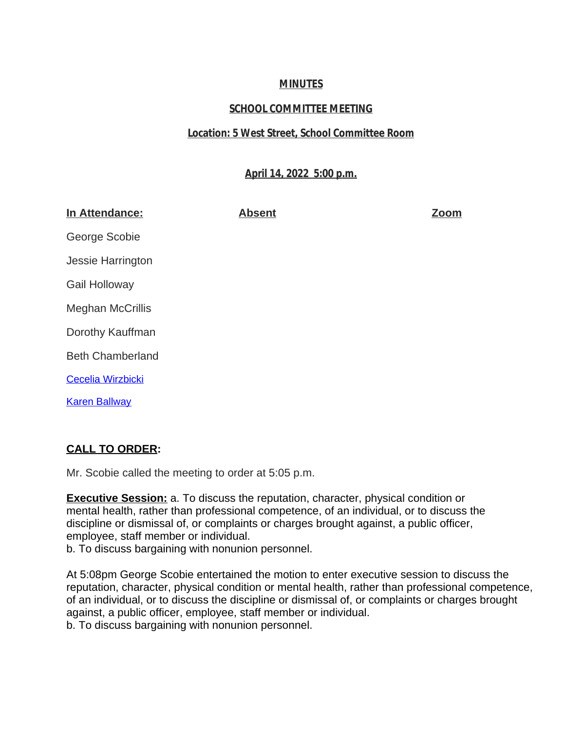# **MINUTES**

# **SCHOOL COMMITTEE MEETING**

## **Location: 5 West Street, School Committee Room**

## **April 14, 2022 5:00 p.m.**

| In Attendance:           | <b>Absent</b> | <b>Zoom</b> |
|--------------------------|---------------|-------------|
| George Scobie            |               |             |
| Jessie Harrington        |               |             |
| Gail Holloway            |               |             |
| <b>Meghan McCrillis</b>  |               |             |
| Dorothy Kauffman         |               |             |
| <b>Beth Chamberland</b>  |               |             |
| <b>Cecelia Wirzbicki</b> |               |             |
| <b>Karen Ballway</b>     |               |             |

# **[CALL TO ORDER:](mailto:kballway@auburn.k12.ma.us)**

[Mr. Scobie called the meeting to order at 5:05 p.m.](mailto:kballway@auburn.k12.ma.us)

**[Executive Session:](mailto:kballway@auburn.k12.ma.us)** [a. To discuss the reputation, character, physical condition or](mailto:kballway@auburn.k12.ma.us)  [mental health, rather than professional competence, of an individual, or to discuss the](mailto:kballway@auburn.k12.ma.us)  [discipline or dismissal of, or complaints or charges brought against, a public officer,](mailto:kballway@auburn.k12.ma.us)  [employee, staff member or individual.](mailto:kballway@auburn.k12.ma.us) 

[b. To discuss bargaining with nonunion personnel.](mailto:kballway@auburn.k12.ma.us)

[At 5:08pm George Scobie entertained the motion to enter executive session to discuss the](mailto:kballway@auburn.k12.ma.us)  [reputation, character, physical condition or mental health, rather than professional competence,](mailto:kballway@auburn.k12.ma.us) [of an individual, or to discuss the discipline or dismissal of, or complaints or charges brought](mailto:kballway@auburn.k12.ma.us)  [against, a public officer, employee, staff member or individual.](mailto:kballway@auburn.k12.ma.us) 

[b. To discuss bargaining with nonunion personnel.](mailto:kballway@auburn.k12.ma.us)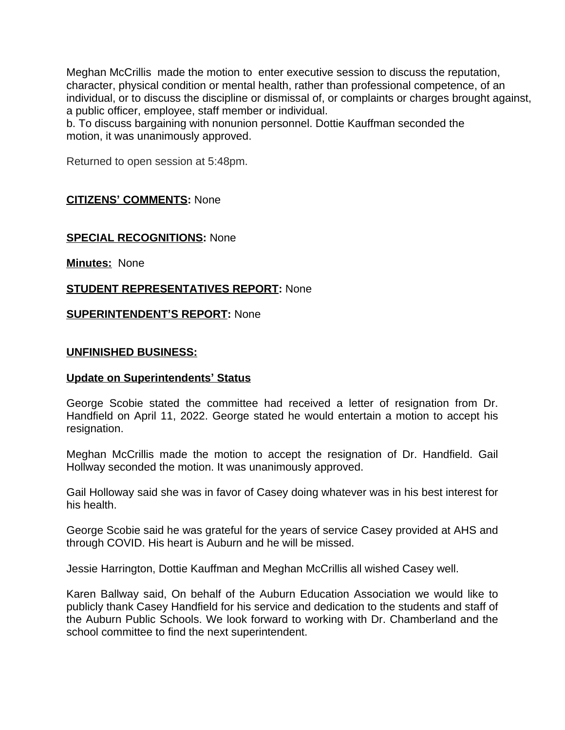Meghan McCrillis made the motion to enter executive session to discuss the reputation, character, physical condition or mental health, rather than professional competence, of an individual, or to discuss the discipline or dismissal of, or complaints or charges brought against, a public officer, employee, staff member or individual.

b. To discuss bargaining with nonunion personnel. Dottie Kauffman seconded the motion, it was unanimously approved.

Returned to open session at 5:48pm.

## **CITIZENS' COMMENTS:** None

## **SPECIAL RECOGNITIONS:** None

**Minutes:** None

## **STUDENT REPRESENTATIVES REPORT:** None

### **SUPERINTENDENT'S REPORT:** None

### **UNFINISHED BUSINESS:**

### **Update on Superintendents' Status**

George Scobie stated the committee had received a letter of resignation from Dr. Handfield on April 11, 2022. George stated he would entertain a motion to accept his resignation.

Meghan McCrillis made the motion to accept the resignation of Dr. Handfield. Gail Hollway seconded the motion. It was unanimously approved.

Gail Holloway said she was in favor of Casey doing whatever was in his best interest for his health.

George Scobie said he was grateful for the years of service Casey provided at AHS and through COVID. His heart is Auburn and he will be missed.

Jessie Harrington, Dottie Kauffman and Meghan McCrillis all wished Casey well.

Karen Ballway said, On behalf of the Auburn Education Association we would like to publicly thank Casey Handfield for his service and dedication to the students and staff of the Auburn Public Schools. We look forward to working with Dr. Chamberland and the school committee to find the next superintendent.